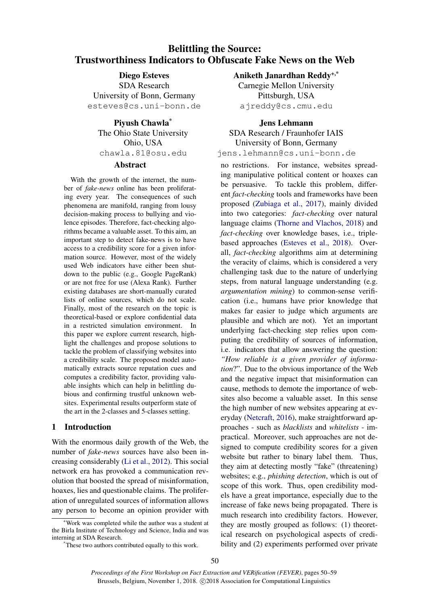# Belittling the Source: Trustworthiness Indicators to Obfuscate Fake News on the Web

Diego Esteves SDA Research University of Bonn, Germany esteves@cs.uni-bonn.de

Piyush Chawla\* The Ohio State University Ohio, USA chawla.81@osu.edu

# **Abstract**

With the growth of the internet, the number of *fake-news* online has been proliferating every year. The consequences of such phenomena are manifold, ranging from lousy decision-making process to bullying and violence episodes. Therefore, fact-checking algorithms became a valuable asset. To this aim, an important step to detect fake-news is to have access to a credibility score for a given information source. However, most of the widely used Web indicators have either been shutdown to the public (e.g., Google PageRank) or are not free for use (Alexa Rank). Further existing databases are short-manually curated lists of online sources, which do not scale. Finally, most of the research on the topic is theoretical-based or explore confidential data in a restricted simulation environment. In this paper we explore current research, highlight the challenges and propose solutions to tackle the problem of classifying websites into a credibility scale. The proposed model automatically extracts source reputation cues and computes a credibility factor, providing valuable insights which can help in belittling dubious and confirming trustful unknown websites. Experimental results outperform state of the art in the 2-classes and 5-classes setting.

# 1 Introduction

With the enormous daily growth of the Web, the number of *fake-news* sources have also been increasing considerably [\(Li et al.,](#page-9-0) [2012\)](#page-9-0). This social network era has provoked a communication revolution that boosted the spread of misinformation, hoaxes, lies and questionable claims. The proliferation of unregulated sources of information allows any person to become an opinion provider with Aniketh Janardhan Reddy+,\*

Carnegie Mellon University Pittsburgh, USA ajreddy@cs.cmu.edu

# Jens Lehmann

SDA Research / Fraunhofer IAIS University of Bonn, Germany jens.lehmann@cs.uni-bonn.de

no restrictions. For instance, websites spreading manipulative political content or hoaxes can be persuasive. To tackle this problem, different *fact-checking* tools and frameworks have been proposed [\(Zubiaga et al.,](#page-9-1) [2017\)](#page-9-1), mainly divided into two categories: *fact-checking* over natural language claims [\(Thorne and Vlachos,](#page-9-2) [2018\)](#page-9-2) and *fact-checking* over knowledge bases, i.e., triplebased approaches [\(Esteves et al.,](#page-8-0) [2018\)](#page-8-0). Overall, *fact-checking* algorithms aim at determining the veracity of claims, which is considered a very challenging task due to the nature of underlying steps, from natural language understanding (e.g. *argumentation mining*) to common-sense verification (i.e., humans have prior knowledge that makes far easier to judge which arguments are plausible and which are not). Yet an important underlying fact-checking step relies upon computing the credibility of sources of information, i.e. indicators that allow answering the question: *"How reliable is a given provider of information*?". Due to the obvious importance of the Web and the negative impact that misinformation can cause, methods to demote the importance of websites also become a valuable asset. In this sense the high number of new websites appearing at everyday [\(Netcraft,](#page-9-3) [2016\)](#page-9-3), make straightforward approaches - such as *blacklists* and *whitelists* - impractical. Moreover, such approaches are not designed to compute credibility scores for a given website but rather to binary label them. Thus, they aim at detecting mostly "fake" (threatening) websites; e.g., *phishing detection*, which is out of scope of this work. Thus, open credibility models have a great importance, especially due to the increase of fake news being propagated. There is much research into credibility factors. However, they are mostly grouped as follows: (1) theoretical research on psychological aspects of credibility and (2) experiments performed over private

<sup>+</sup>Work was completed while the author was a student at the Birla Institute of Technology and Science, India and was interning at SDA Research.

<sup>\*</sup>These two authors contributed equally to this work.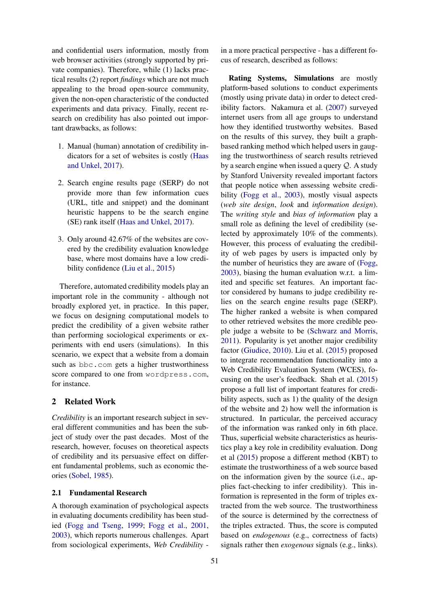and confidential users information, mostly from web browser activities (strongly supported by private companies). Therefore, while (1) lacks practical results (2) report *findings* which are not much appealing to the broad open-source community, given the non-open characteristic of the conducted experiments and data privacy. Finally, recent research on credibility has also pointed out important drawbacks, as follows:

- 1. Manual (human) annotation of credibility indicators for a set of websites is costly [\(Haas](#page-9-4) [and Unkel,](#page-9-4) [2017\)](#page-9-4).
- 2. Search engine results page (SERP) do not provide more than few information cues (URL, title and snippet) and the dominant heuristic happens to be the search engine (SE) rank itself [\(Haas and Unkel,](#page-9-4) [2017\)](#page-9-4).
- 3. Only around 42.67% of the websites are covered by the credibility evaluation knowledge base, where most domains have a low credibility confidence [\(Liu et al.,](#page-9-5) [2015\)](#page-9-5)

Therefore, automated credibility models play an important role in the community - although not broadly explored yet, in practice. In this paper, we focus on designing computational models to predict the credibility of a given website rather than performing sociological experiments or experiments with end users (simulations). In this scenario, we expect that a website from a domain such as bbc.com gets a higher trustworthiness score compared to one from wordpress.com, for instance.

# 2 Related Work

*Credibility* is an important research subject in several different communities and has been the subject of study over the past decades. Most of the research, however, focuses on theoretical aspects of credibility and its persuasive effect on different fundamental problems, such as economic theories [\(Sobel,](#page-9-6) [1985\)](#page-9-6).

# 2.1 Fundamental Research

A thorough examination of psychological aspects in evaluating documents credibility has been studied [\(Fogg and Tseng,](#page-8-1) [1999;](#page-8-1) [Fogg et al.,](#page-8-2) [2001,](#page-8-2) [2003\)](#page-8-3), which reports numerous challenges. Apart from sociological experiments, *Web Credibility* -

in a more practical perspective - has a different focus of research, described as follows:

Rating Systems, Simulations are mostly platform-based solutions to conduct experiments (mostly using private data) in order to detect credibility factors. Nakamura et al. [\(2007\)](#page-9-7) surveyed internet users from all age groups to understand how they identified trustworthy websites. Based on the results of this survey, they built a graphbased ranking method which helped users in gauging the trustworthiness of search results retrieved by a search engine when issued a query Q. A study by Stanford University revealed important factors that people notice when assessing website credibility [\(Fogg et al.,](#page-8-3) [2003\)](#page-8-3), mostly visual aspects (*web site design*, *look* and *information design*). The *writing style* and *bias of information* play a small role as defining the level of credibility (selected by approximately 10% of the comments). However, this process of evaluating the credibility of web pages by users is impacted only by the number of heuristics they are aware of [\(Fogg,](#page-8-4) [2003\)](#page-8-4), biasing the human evaluation w.r.t. a limited and specific set features. An important factor considered by humans to judge credibility relies on the search engine results page (SERP). The higher ranked a website is when compared to other retrieved websites the more credible people judge a website to be [\(Schwarz and Morris,](#page-9-8) [2011\)](#page-9-8). Popularity is yet another major credibility factor [\(Giudice,](#page-8-5) [2010\)](#page-8-5). Liu et al. [\(2015\)](#page-9-5) proposed to integrate recommendation functionality into a Web Credibility Evaluation System (WCES), focusing on the user's feedback. Shah et al. [\(2015\)](#page-9-9) propose a full list of important features for credibility aspects, such as 1) the quality of the design of the website and 2) how well the information is structured. In particular, the perceived accuracy of the information was ranked only in 6th place. Thus, superficial website characteristics as heuristics play a key role in credibility evaluation. Dong et al [\(2015\)](#page-8-6) propose a different method (KBT) to estimate the trustworthiness of a web source based on the information given by the source (i.e., applies fact-checking to infer credibility). This information is represented in the form of triples extracted from the web source. The trustworthiness of the source is determined by the correctness of the triples extracted. Thus, the score is computed based on *endogenous* (e.g., correctness of facts) signals rather then *exogenous* signals (e.g., links).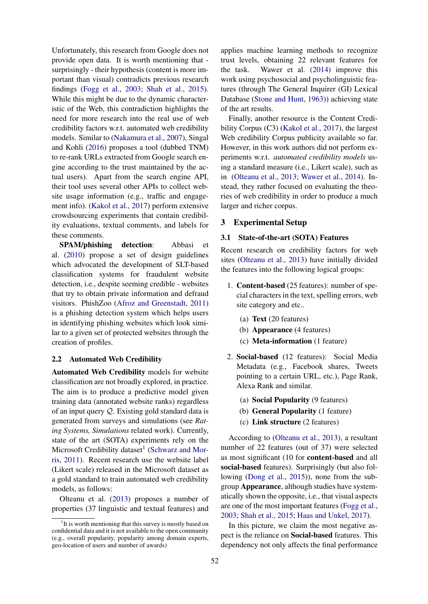Unfortunately, this research from Google does not provide open data. It is worth mentioning that surprisingly - their hypothesis (content is more important than visual) contradicts previous research findings [\(Fogg et al.,](#page-8-3) [2003;](#page-8-3) [Shah et al.,](#page-9-9) [2015\)](#page-9-9). While this might be due to the dynamic characteristic of the Web, this contradiction highlights the need for more research into the real use of web credibility factors w.r.t. automated web credibility models. Similar to [\(Nakamura et al.,](#page-9-7) [2007\)](#page-9-7), Singal and Kohli [\(2016\)](#page-9-10) proposes a tool (dubbed TNM) to re-rank URLs extracted from Google search engine according to the trust maintained by the actual users). Apart from the search engine API, their tool uses several other APIs to collect website usage information (e.g., traffic and engagement info). [\(Kakol et al.,](#page-9-11) [2017\)](#page-9-11) perform extensive crowdsourcing experiments that contain credibility evaluations, textual comments, and labels for these comments.

SPAM/phishing detection: Abbasi et al. [\(2010\)](#page-8-7) propose a set of design guidelines which advocated the development of SLT-based classification systems for fraudulent website detection, i.e., despite seeming credible - websites that try to obtain private information and defraud visitors. PhishZoo [\(Afroz and Greenstadt,](#page-8-8) [2011\)](#page-8-8) is a phishing detection system which helps users in identifying phishing websites which look similar to a given set of protected websites through the creation of profiles.

#### 2.2 Automated Web Credibility

Automated Web Credibility models for website classification are not broadly explored, in practice. The aim is to produce a predictive model given training data (annotated website ranks) regardless of an input query Q. Existing gold standard data is generated from surveys and simulations (see *Rating Systems, Simulations* related work). Currently, state of the art (SOTA) experiments rely on the Microsoft Credibility dataset<sup>[1](#page-2-0)</sup> [\(Schwarz and Mor](#page-9-8)[ris,](#page-9-8) [2011\)](#page-9-8). Recent research use the website label (Likert scale) released in the Microsoft dataset as a gold standard to train automated web credibility models, as follows:

Olteanu et al. [\(2013\)](#page-9-12) proposes a number of properties (37 linguistic and textual features) and

applies machine learning methods to recognize trust levels, obtaining 22 relevant features for the task. Wawer et al. [\(2014\)](#page-9-13) improve this work using psychosocial and psycholinguistic features (through The General Inquirer (GI) Lexical Database [\(Stone and Hunt,](#page-9-14) [1963\)](#page-9-14)) achieving state of the art results.

Finally, another resource is the Content Credibility Corpus (C3) [\(Kakol et al.,](#page-9-11) [2017\)](#page-9-11), the largest Web credibility Corpus publicity available so far. However, in this work authors did not perform experiments w.r.t. *automated credibility models* using a standard measure (i.e., Likert scale), such as in [\(Olteanu et al.,](#page-9-12) [2013;](#page-9-12) [Wawer et al.,](#page-9-13) [2014\)](#page-9-13). Instead, they rather focused on evaluating the theories of web credibility in order to produce a much larger and richer corpus.

# 3 Experimental Setup

#### <span id="page-2-1"></span>3.1 State-of-the-art (SOTA) Features

Recent research on credibility factors for web sites [\(Olteanu et al.,](#page-9-12) [2013\)](#page-9-12) have initially divided the features into the following logical groups:

- 1. Content-based (25 features): number of special characters in the text, spelling errors, web site category and etc..
	- (a) Text (20 features)
	- (b) Appearance (4 features)
	- (c) Meta-information (1 feature)
- 2. Social-based (12 features): Social Media Metadata (e.g., Facebook shares, Tweets pointing to a certain URL, etc.), Page Rank, Alexa Rank and similar.
	- (a) Social Popularity (9 features)
	- (b) General Popularity (1 feature)
	- (c) Link structure (2 features)

According to [\(Olteanu et al.,](#page-9-12) [2013\)](#page-9-12), a resultant number of 22 features (out of 37) were selected as most significant (10 for content-based and all social-based features). Surprisingly (but also following [\(Dong et al.,](#page-8-6) [2015\)](#page-8-6)), none from the subgroup Appearance, although studies have systematically shown the opposite, i.e., that visual aspects are one of the most important features [\(Fogg et al.,](#page-8-3) [2003;](#page-8-3) [Shah et al.,](#page-9-9) [2015;](#page-9-9) [Haas and Unkel,](#page-9-4) [2017\)](#page-9-4).

In this picture, we claim the most negative aspect is the reliance on Social-based features. This dependency not only affects the final performance

<span id="page-2-0"></span><sup>&</sup>lt;sup>1</sup>It is worth mentioning that this survey is mostly based on confidential data and it is not available to the open community (e.g., overall popularity, popularity among domain experts, geo-location of users and number of awards)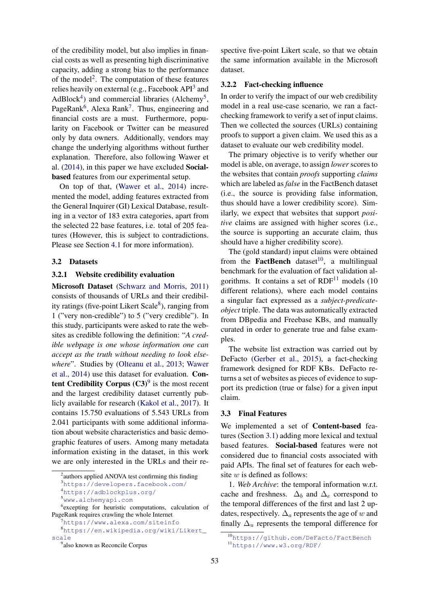of the credibility model, but also implies in financial costs as well as presenting high discriminative capacity, adding a strong bias to the performance of the model<sup>[2](#page-3-0)</sup>. The computation of these features relies heavily on external (e.g., Facebook API<sup>[3](#page-3-1)</sup> and AdBlock<sup>[4](#page-3-2)</sup>) and commercial libraries (Alchemy<sup>[5](#page-3-3)</sup>, PageRank<sup>[6](#page-3-4)</sup>, Alexa Rank<sup>[7](#page-3-5)</sup>. Thus, engineering and financial costs are a must. Furthermore, popularity on Facebook or Twitter can be measured only by data owners. Additionally, vendors may change the underlying algorithms without further explanation. Therefore, also following Wawer et al. [\(2014\)](#page-9-13), in this paper we have excluded Socialbased features from our experimental setup.

On top of that, [\(Wawer et al.,](#page-9-13) [2014\)](#page-9-13) incremented the model, adding features extracted from the General Inquirer (GI) Lexical Database, resulting in a vector of 183 extra categories, apart from the selected 22 base features, i.e. total of 205 features (However, this is subject to contradictions. Please see Section [4.1](#page-5-0) for more information).

#### 3.2 Datasets

### 3.2.1 Website credibility evaluation

Microsoft Dataset [\(Schwarz and Morris,](#page-9-8) [2011\)](#page-9-8) consists of thousands of URLs and their credibil-ity ratings (five-point Likert Scale<sup>[8](#page-3-6)</sup>), ranging from 1 ("very non-credible") to 5 ("very credible"). In this study, participants were asked to rate the websites as credible following the definition: "*A credible webpage is one whose information one can accept as the truth without needing to look elsewhere*". Studies by [\(Olteanu et al.,](#page-9-12) [2013;](#page-9-12) [Wawer](#page-9-13) [et al.,](#page-9-13) [2014\)](#page-9-13) use this dataset for evaluation. Content Credibility Corpus  $(C3)^9$  $(C3)^9$  is the most recent and the largest credibility dataset currently publicly available for research [\(Kakol et al.,](#page-9-11) [2017\)](#page-9-11). It contains 15.750 evaluations of 5.543 URLs from 2.041 participants with some additional information about website characteristics and basic demographic features of users. Among many metadata information existing in the dataset, in this work we are only interested in the URLs and their re-

spective five-point Likert scale, so that we obtain the same information available in the Microsoft dataset.

### 3.2.2 Fact-checking influence

In order to verify the impact of our web credibility model in a real use-case scenario, we ran a factchecking framework to verify a set of input claims. Then we collected the sources (URLs) containing proofs to support a given claim. We used this as a dataset to evaluate our web credibility model.

The primary objective is to verify whether our model is able, on average, to assign *lower* scores to the websites that contain *proofs* supporting *claims* which are labeled as *false* in the FactBench dataset (i.e., the source is providing false information, thus should have a lower credibility score). Similarly, we expect that websites that support *positive* claims are assigned with higher scores (i.e., the source is supporting an accurate claim, thus should have a higher credibility score).

The (gold standard) input claims were obtained from the **FactBench** dataset<sup>[10](#page-3-8)</sup>, a multilingual benchmark for the evaluation of fact validation algorithms. It contains a set of  $RDF<sup>11</sup>$  $RDF<sup>11</sup>$  $RDF<sup>11</sup>$  models (10) different relations), where each model contains a singular fact expressed as a *subject-predicateobject* triple. The data was automatically extracted from DBpedia and Freebase KBs, and manually curated in order to generate true and false examples.

The website list extraction was carried out by DeFacto [\(Gerber et al.,](#page-8-9) [2015\)](#page-8-9), a fact-checking framework designed for RDF KBs. DeFacto returns a set of websites as pieces of evidence to support its prediction (true or false) for a given input claim.

#### <span id="page-3-10"></span>3.3 Final Features

We implemented a set of Content-based features (Section [3.1\)](#page-2-1) adding more lexical and textual based features. Social-based features were not considered due to financial costs associated with paid APIs. The final set of features for each website  $w$  is defined as follows:

1. *Web Archive*: the temporal information w.r.t. cache and freshness.  $\Delta_b$  and  $\Delta_e$  correspond to the temporal differences of the first and last 2 updates, respectively.  $\Delta_a$  represents the age of w and finally  $\Delta_u$  represents the temporal difference for

<span id="page-3-1"></span><span id="page-3-0"></span><sup>&</sup>lt;sup>2</sup> authors applied ANOVA test confirming this finding <sup>3</sup><https://developers.facebook.com/>

<span id="page-3-2"></span><sup>4</sup><https://adblockplus.org/>

<span id="page-3-4"></span><span id="page-3-3"></span><sup>5</sup><www.alchemyapi.com>

<sup>6</sup> excepting for heuristic computations, calculation of PageRank requires crawling the whole Internet

<span id="page-3-6"></span><span id="page-3-5"></span><sup>7</sup><https://www.alexa.com/siteinfo>

<sup>8</sup>[https://en.wikipedia.org/wiki/Likert\\_](https://en.wikipedia.org/wiki/Likert_scale) [scale](https://en.wikipedia.org/wiki/Likert_scale)

<span id="page-3-7"></span><sup>9</sup> also known as Reconcile Corpus

<span id="page-3-9"></span><span id="page-3-8"></span><sup>10</sup><https://github.com/DeFacto/FactBench> <sup>11</sup><https://www.w3.org/RDF/>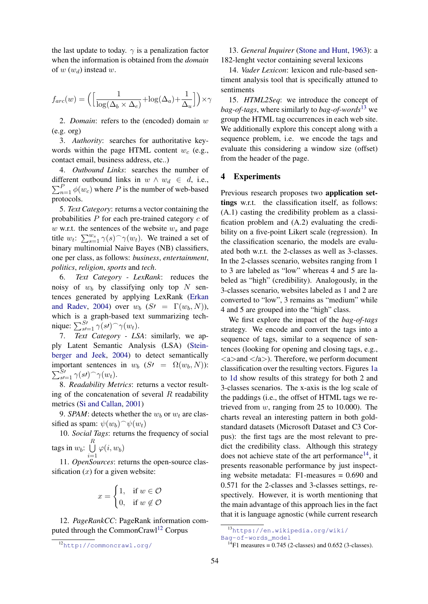the last update to today.  $\gamma$  is a penalization factor when the information is obtained from the *domain* of  $w(w_d)$  instead  $w$ .

$$
f_{arc}(w) = \Big( \Big[ \frac{1}{\log(\Delta_b \times \Delta_e)} + \log(\Delta_a) + \frac{1}{\Delta_u} \Big] \Big) \times \gamma
$$

2. *Domain*: refers to the (encoded) domain w (e.g. org)

3. *Authority*: searches for authoritative keywords within the page HTML content  $w_c$  (e.g., contact email, business address, etc..)

4. *Outbound Links*: searches the number of  $\sum_{n=1}^{P} \phi(w_c)$  where P is the number of web-based different outbound links in  $w \wedge w_d \in d$ , i.e., protocols.

5. *Text Category*: returns a vector containing the probabilities  $P$  for each pre-trained category  $c$  of  $w$  w.r.t. the sentences of the website  $w_s$  and page title  $w_t$ :  $\sum_{s=1}^{w_s} \gamma(s) \gamma(w_t)$ . We trained a set of binary multinomial Naive Bayes (NB) classifiers, one per class, as follows: *business*, *entertainment*, *politics*, *religion*, *sports* and *tech*.

6. *Text Category - LexRank*: reduces the noisy of  $w_b$  by classifying only top N sentences generated by applying LexRank [\(Erkan](#page-8-10) [and Radev,](#page-8-10) [2004\)](#page-8-10) over  $w_b$  (S $\ell = \Gamma(w_b, N)$ ), which is a graph-based text summarizing technique:  $\sum_{s=1}^{S} \gamma(s) \gamma(w_t)$ .

7. *Text Category - LSA*: similarly, we apply Latent Semantic Analysis (LSA) [\(Stein](#page-9-15)[berger and Jeek,](#page-9-15) [2004\)](#page-9-15) to detect semantically important sentences in  $w_b$   $(St = \Omega(w_b, N))$ :  $\sum_{s=1}^{S} \gamma(s) \hat{ } \gamma(w_t).$ 

8. *Readability Metrics*: returns a vector resulting of the concatenation of several  $R$  readability metrics [\(Si and Callan,](#page-9-16) [2001\)](#page-9-16)

9. *SPAM*: detects whether the  $w_b$  or  $w_t$  are classified as spam:  $\psi(w_b) \hat{ } \psi(w_t)$ 

10. *Social Tags*: returns the frequency of social tags in  $w_b$ :  $\bigcup^R$ 

 $i=1$  $\varphi(i,w_b)$ 

11. *OpenSources*: returns the open-source classification  $(x)$  for a given website:

$$
x = \begin{cases} 1, & \text{if } w \in \mathcal{O} \\ 0, & \text{if } w \notin \mathcal{O} \end{cases}
$$

12. *PageRankCC*: PageRank information com-puted through the CommonCrawl<sup>[12](#page-4-0)</sup> Corpus

13. *General Inquirer* [\(Stone and Hunt,](#page-9-14) [1963\)](#page-9-14): a 182-lenght vector containing several lexicons

14. *Vader Lexicon*: lexicon and rule-based sentiment analysis tool that is specifically attuned to sentiments

15. *HTML2Seq*: we introduce the concept of *bag-of-tags*, where similarly to *bag-of-words*[13](#page-4-1) we group the HTML tag occurrences in each web site. We additionally explore this concept along with a sequence problem, i.e. we encode the tags and evaluate this considering a window size (offset) from the header of the page.

### 4 Experiments

Previous research proposes two application settings w.r.t. the classification itself, as follows: (A.1) casting the credibility problem as a classification problem and (A.2) evaluating the credibility on a five-point Likert scale (regression). In the classification scenario, the models are evaluated both w.r.t. the 2-classes as well as 3-classes. In the 2-classes scenario, websites ranging from 1 to 3 are labeled as "low" whereas 4 and 5 are labeled as "high" (credibility). Analogously, in the 3-classes scenario, websites labeled as 1 and 2 are converted to "low", 3 remains as "medium" while 4 and 5 are grouped into the "high" class.

We first explore the impact of the *bag-of-tags* strategy. We encode and convert the tags into a sequence of tags, similar to a sequence of sentences (looking for opening and closing tags, e.g.,  $\langle a \rangle$  and  $\langle a \rangle$ ). Therefore, we perform document classification over the resulting vectors. Figures [1a](#page-6-0) to [1d](#page-6-0) show results of this strategy for both 2 and 3-classes scenarios. The x-axis is the log scale of the paddings (i.e., the offset of HTML tags we retrieved from  $w$ , ranging from 25 to 10.000). The charts reveal an interesting pattern in both goldstandard datasets (Microsoft Dataset and C3 Corpus): the first tags are the most relevant to predict the credibility class. Although this strategy does not achieve state of the art performance<sup>[14](#page-4-2)</sup>, it presents reasonable performance by just inspecting website metadata: F1-measures = 0.690 and 0.571 for the 2-classes and 3-classes settings, respectively. However, it is worth mentioning that the main advantage of this approach lies in the fact that it is language agnostic (while current research

<span id="page-4-0"></span><sup>12</sup><http://commoncrawl.org/>

<span id="page-4-1"></span><sup>13</sup>[https://en.wikipedia.org/wiki/](https://en.wikipedia.org/wiki/Bag-of-words_model) [Bag-of-words\\_model](https://en.wikipedia.org/wiki/Bag-of-words_model)

<span id="page-4-2"></span> $^{14}$ F1 measures = 0.745 (2-classes) and 0.652 (3-classes).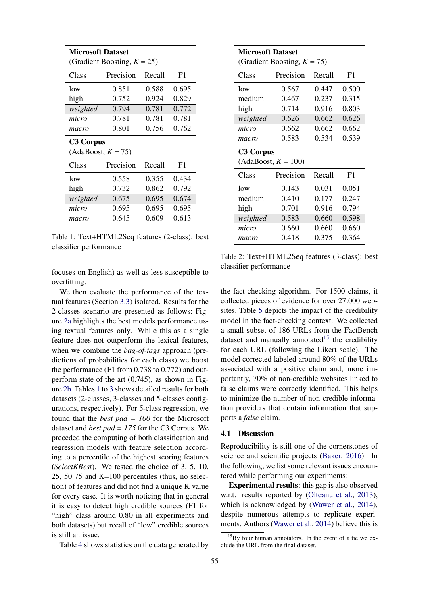<span id="page-5-1"></span>

| <b>Microsoft Dataset</b>       |                     |       |       |  |
|--------------------------------|---------------------|-------|-------|--|
| (Gradient Boosting, $K = 25$ ) |                     |       |       |  |
| Class                          | Precision<br>Recall |       | F1    |  |
| low                            | 0.851               | 0.588 | 0.695 |  |
| high                           | 0.752               | 0.924 | 0.829 |  |
| weighted                       | 0.794               | 0.781 | 0.772 |  |
| micro                          | 0.781               | 0.781 | 0.781 |  |
| macro                          | 0.801               | 0.756 | 0.762 |  |
| <b>C3 Corpus</b>               |                     |       |       |  |
| $(AdaBoost, K = 75)$           |                     |       |       |  |
| Class                          | Recall<br>Precision |       | F1    |  |
| low                            | 0.558               | 0.355 | 0.434 |  |
| high                           | 0.732               | 0.862 | 0.792 |  |
| weighted                       | 0.675               | 0.695 | 0.674 |  |
| micro                          | 0.695               | 0.695 | 0.695 |  |
| macro                          | 0.645               |       | 0.613 |  |

Table 1: Text+HTML2Seq features (2-class): best classifier performance

focuses on English) as well as less susceptible to overfitting.

We then evaluate the performance of the textual features (Section [3.3\)](#page-3-10) isolated. Results for the 2-classes scenario are presented as follows: Figure [2a](#page-6-1) highlights the best models performance using textual features only. While this as a single feature does not outperform the lexical features, when we combine the *bag-of-tags* approach (predictions of probabilities for each class) we boost the performance (F1 from 0.738 to 0.772) and outperform state of the art (0.745), as shown in Figure [2b.](#page-6-1) Tables [1](#page-5-1) to [3](#page-7-0) shows detailed results for both datasets (2-classes, 3-classes and 5-classes configurations, respectively). For 5-class regression, we found that the *best pad = 100* for the Microsoft dataset and *best pad = 175* for the C3 Corpus. We preceded the computing of both classification and regression models with feature selection according to a percentile of the highest scoring features (*SelectKBest*). We tested the choice of 3, 5, 10, 25, 50 75 and K=100 percentiles (thus, no selection) of features and did not find a unique K value for every case. It is worth noticing that in general it is easy to detect high credible sources (F1 for "high" class around 0.80 in all experiments and both datasets) but recall of "low" credible sources is still an issue.

Table [4](#page-7-1) shows statistics on the data generated by

| <b>Microsoft Dataset</b><br>(Gradient Boosting, $K = 75$ ) |                     |       |       |  |
|------------------------------------------------------------|---------------------|-------|-------|--|
| Class                                                      | Precision<br>Recall |       | F1    |  |
| low                                                        | 0.567               | 0.447 | 0.500 |  |
| medium                                                     | 0.467               | 0.237 | 0.315 |  |
| high                                                       | 0.714               | 0.916 | 0.803 |  |
| weighted                                                   | 0.626               | 0.662 | 0.626 |  |
| micro                                                      | 0.662               | 0.662 | 0.662 |  |
| macro                                                      | 0.583               | 0.534 | 0.539 |  |
| <b>C3 Corpus</b><br>$(AdaBoost, K = 100)$                  |                     |       |       |  |
| Class                                                      | Precision<br>Recall |       | F1    |  |
| low                                                        | 0.143               | 0.031 | 0.051 |  |
| medium                                                     | 0.410               | 0.177 | 0.247 |  |
| high                                                       | 0.701               | 0.916 | 0.794 |  |
| weighted                                                   | 0.583               | 0.660 | 0.598 |  |
| micro                                                      | 0.660               | 0.660 | 0.660 |  |
| macro                                                      | 0.418               | 0.375 | 0.364 |  |

Table 2: Text+HTML2Seq features (3-class): best classifier performance

the fact-checking algorithm. For 1500 claims, it collected pieces of evidence for over 27.000 websites. Table [5](#page-7-2) depicts the impact of the credibility model in the fact-checking context. We collected a small subset of 186 URLs from the FactBench dataset and manually annotated<sup>[15](#page-5-2)</sup> the credibility for each URL (following the Likert scale). The model corrected labeled around 80% of the URLs associated with a positive claim and, more importantly, 70% of non-credible websites linked to false claims were correctly identified. This helps to minimize the number of non-credible information providers that contain information that supports a *false* claim.

#### <span id="page-5-0"></span>4.1 Discussion

Reproducibility is still one of the cornerstones of science and scientific projects [\(Baker,](#page-8-11) [2016\)](#page-8-11). In the following, we list some relevant issues encountered while performing our experiments:

Experimental results: this gap is also observed w.r.t. results reported by [\(Olteanu et al.,](#page-9-12) [2013\)](#page-9-12), which is acknowledged by [\(Wawer et al.,](#page-9-13) [2014\)](#page-9-13), despite numerous attempts to replicate experiments. Authors [\(Wawer et al.,](#page-9-13) [2014\)](#page-9-13) believe this is

<span id="page-5-2"></span> $15Bv$  four human annotators. In the event of a tie we exclude the URL from the final dataset.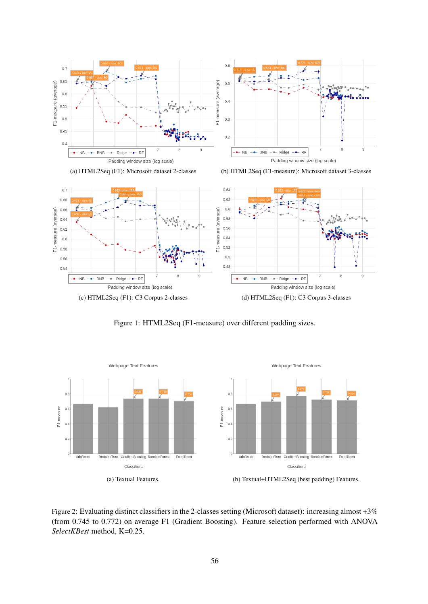<span id="page-6-0"></span>



(a) HTML2Seq (F1): Microsoft dataset 2-classes (b) HTML2Seq (F1-measure): Microsoft dataset 3-classes



Figure 1: HTML2Seq (F1-measure) over different padding sizes.

<span id="page-6-1"></span>

Figure 2: Evaluating distinct classifiers in the 2-classes setting (Microsoft dataset): increasing almost +3% (from 0.745 to 0.772) on average F1 (Gradient Boosting). Feature selection performed with ANOVA *SelectKBest* method, K=0.25.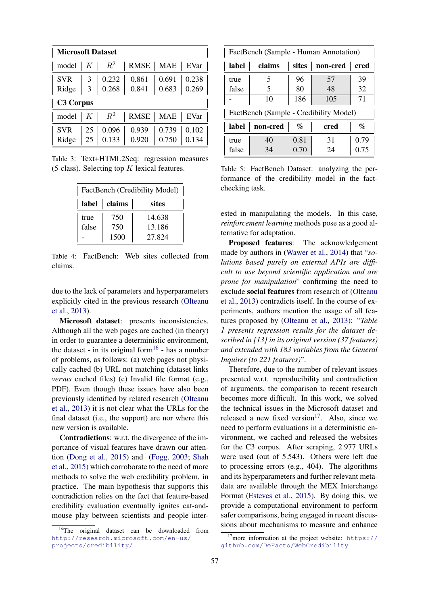<span id="page-7-0"></span>

| <b>Microsoft Dataset</b> |    |       |             |            |       |
|--------------------------|----|-------|-------------|------------|-------|
| model                    | K  | $R^2$ | <b>RMSE</b> | <b>MAE</b> | EVar  |
| <b>SVR</b>               | 3  | 0.232 | 0.861       | 0.691      | 0.238 |
| Ridge                    | 3  | 0.268 | 0.841       | 0.683      | 0.269 |
| <b>C3 Corpus</b>         |    |       |             |            |       |
| model                    | K  | $R^2$ | <b>RMSE</b> | <b>MAE</b> | EVar  |
| <b>SVR</b>               | 25 | 0.096 | 0.939       | 0.739      | 0.102 |
| Ridge                    | 25 | 0.133 | 0.920       | 0.750      | 0.134 |

<span id="page-7-1"></span>Table 3: Text+HTML2Seq: regression measures (5-class). Selecting top  $K$  lexical features.

| FactBench (Credibility Model) |      |        |  |
|-------------------------------|------|--------|--|
| label<br>claims<br>sites      |      |        |  |
| true                          | 750  | 14.638 |  |
| false                         | 750  | 13.186 |  |
|                               | 1500 | 27.824 |  |

Table 4: FactBench: Web sites collected from claims.

due to the lack of parameters and hyperparameters explicitly cited in the previous research [\(Olteanu](#page-9-12) [et al.,](#page-9-12) [2013\)](#page-9-12).

Microsoft dataset: presents inconsistencies. Although all the web pages are cached (in theory) in order to guarantee a deterministic environment, the dataset - in its original form<sup>[16](#page-7-3)</sup> - has a number of problems, as follows: (a) web pages not physically cached (b) URL not matching (dataset links *versus* cached files) (c) Invalid file format (e.g., PDF). Even though these issues have also been previously identified by related research [\(Olteanu](#page-9-12) [et al.,](#page-9-12) [2013\)](#page-9-12) it is not clear what the URLs for the final dataset (i.e., the support) are nor where this new version is available.

Contradictions: w.r.t. the divergence of the importance of visual features have drawn our attention [\(Dong et al.,](#page-8-6) [2015\)](#page-8-6) and [\(Fogg,](#page-8-4) [2003;](#page-8-4) [Shah](#page-9-9) [et al.,](#page-9-9) [2015\)](#page-9-9) which corroborate to the need of more methods to solve the web credibility problem, in practice. The main hypothesis that supports this contradiction relies on the fact that feature-based credibility evaluation eventually ignites cat-andmouse play between scientists and people inter-

<span id="page-7-2"></span>

| FactBench (Sample - Human Annotation)  |          |       |          |      |
|----------------------------------------|----------|-------|----------|------|
| label                                  | claims   | sites | non-cred | cred |
| true                                   | 5        | 96    | 57       | 39   |
| false                                  | 5        | 80    | 48       | 32   |
|                                        | 10       | 186   | 105      | 71   |
| FactBench (Sample - Credibility Model) |          |       |          |      |
| label                                  | non-cred | $\%$  | cred     | $\%$ |
| true                                   | 40       | 0.81  | 31       | 0.79 |
| false                                  | 34       | 0.70  | 24       | 0.75 |

Table 5: FactBench Dataset: analyzing the performance of the credibility model in the factchecking task.

ested in manipulating the models. In this case, *reinforcement learning* methods pose as a good alternative for adaptation.

Proposed features: The acknowledgement made by authors in [\(Wawer et al.,](#page-9-13) [2014\)](#page-9-13) that "*solutions based purely on external APIs are difficult to use beyond scientific application and are prone for manipulation*" confirming the need to exclude social features from research of [\(Olteanu](#page-9-12) [et al.,](#page-9-12) [2013\)](#page-9-12) contradicts itself. In the course of experiments, authors mention the usage of all features proposed by [\(Olteanu et al.,](#page-9-12) [2013\)](#page-9-12): "*Table 1 presents regression results for the dataset described in [13] in its original version (37 features) and extended with 183 variables from the General Inquirer (to 221 features)*".

Therefore, due to the number of relevant issues presented w.r.t. reproducibility and contradiction of arguments, the comparison to recent research becomes more difficult. In this work, we solved the technical issues in the Microsoft dataset and released a new fixed version $17$ . Also, since we need to perform evaluations in a deterministic environment, we cached and released the websites for the C3 corpus. After scraping, 2.977 URLs were used (out of 5.543). Others were left due to processing errors (e.g., 404). The algorithms and its hyperparameters and further relevant metadata are available through the MEX Interchange Format [\(Esteves et al.,](#page-8-12) [2015\)](#page-8-12). By doing this, we provide a computational environment to perform safer comparisons, being engaged in recent discussions about mechanisms to measure and enhance

<span id="page-7-3"></span><sup>&</sup>lt;sup>16</sup>The original dataset can be downloaded from [http://research.microsoft.com/en-us/](http://research.microsoft.com/en-us/projects/credibility/) [projects/credibility/](http://research.microsoft.com/en-us/projects/credibility/)

<span id="page-7-4"></span> $17$ more information at the project website: [https://](https://github.com/DeFacto/WebCredibility) [github.com/DeFacto/WebCredibility](https://github.com/DeFacto/WebCredibility)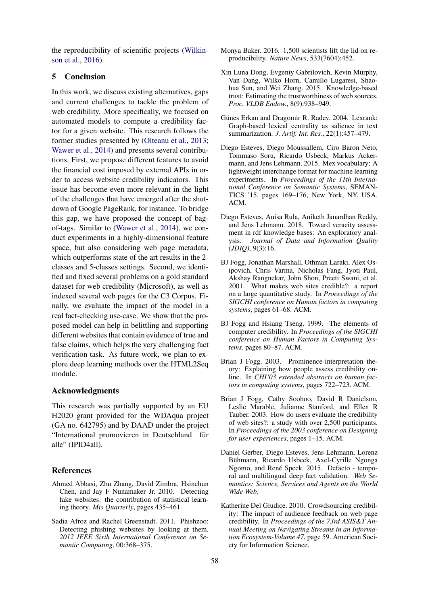the reproducibility of scientific projects [\(Wilkin](#page-9-17)[son et al.,](#page-9-17) [2016\)](#page-9-17).

# 5 Conclusion

In this work, we discuss existing alternatives, gaps and current challenges to tackle the problem of web credibility. More specifically, we focused on automated models to compute a credibility factor for a given website. This research follows the former studies presented by [\(Olteanu et al.,](#page-9-12) [2013;](#page-9-12) [Wawer et al.,](#page-9-13) [2014\)](#page-9-13) and presents several contributions. First, we propose different features to avoid the financial cost imposed by external APIs in order to access website credibility indicators. This issue has become even more relevant in the light of the challenges that have emerged after the shutdown of Google PageRank, for instance. To bridge this gap, we have proposed the concept of bagof-tags. Similar to [\(Wawer et al.,](#page-9-13) [2014\)](#page-9-13), we conduct experiments in a highly-dimensional feature space, but also considering web page metadata, which outperforms state of the art results in the 2 classes and 5-classes settings. Second, we identified and fixed several problems on a gold standard dataset for web credibility (Microsoft), as well as indexed several web pages for the C3 Corpus. Finally, we evaluate the impact of the model in a real fact-checking use-case. We show that the proposed model can help in belittling and supporting different websites that contain evidence of true and false claims, which helps the very challenging fact verification task. As future work, we plan to explore deep learning methods over the HTML2Seq module.

### Acknowledgments

This research was partially supported by an EU H2020 grant provided for the WDAqua project (GA no. 642795) and by DAAD under the project "International promovieren in Deutschland für alle" (IPID4all).

## References

- <span id="page-8-7"></span>Ahmed Abbasi, Zhu Zhang, David Zimbra, Hsinchun Chen, and Jay F Nunamaker Jr. 2010. Detecting fake websites: the contribution of statistical learning theory. *Mis Quarterly*, pages 435–461.
- <span id="page-8-8"></span>Sadia Afroz and Rachel Greenstadt. 2011. Phishzoo: Detecting phishing websites by looking at them. *2012 IEEE Sixth International Conference on Semantic Computing*, 00:368–375.
- <span id="page-8-11"></span>Monya Baker. 2016. 1,500 scientists lift the lid on reproducibility. *Nature News*, 533(7604):452.
- <span id="page-8-6"></span>Xin Luna Dong, Evgeniy Gabrilovich, Kevin Murphy, Van Dang, Wilko Horn, Camillo Lugaresi, Shaohua Sun, and Wei Zhang. 2015. Knowledge-based trust: Estimating the trustworthiness of web sources. *Proc. VLDB Endow.*, 8(9):938–949.
- <span id="page-8-10"></span>Günes Erkan and Dragomir R. Radev. 2004. Lexrank: Graph-based lexical centrality as salience in text summarization. *J. Artif. Int. Res.*, 22(1):457–479.
- <span id="page-8-12"></span>Diego Esteves, Diego Moussallem, Ciro Baron Neto, Tommaso Soru, Ricardo Usbeck, Markus Ackermann, and Jens Lehmann. 2015. Mex vocabulary: A lightweight interchange format for machine learning experiments. In *Proceedings of the 11th International Conference on Semantic Systems*, SEMAN-TICS '15, pages 169–176, New York, NY, USA. ACM.
- <span id="page-8-0"></span>Diego Esteves, Anisa Rula, Aniketh Janardhan Reddy, and Jens Lehmann. 2018. Toward veracity assessment in rdf knowledge bases: An exploratory analysis. *Journal of Data and Information Quality (JDIQ)*, 9(3):16.
- <span id="page-8-2"></span>BJ Fogg, Jonathan Marshall, Othman Laraki, Alex Osipovich, Chris Varma, Nicholas Fang, Jyoti Paul, Akshay Rangnekar, John Shon, Preeti Swani, et al. 2001. What makes web sites credible?: a report on a large quantitative study. In *Proceedings of the SIGCHI conference on Human factors in computing systems*, pages 61–68. ACM.
- <span id="page-8-1"></span>BJ Fogg and Hsiang Tseng. 1999. The elements of computer credibility. In *Proceedings of the SIGCHI conference on Human Factors in Computing Systems*, pages 80–87. ACM.
- <span id="page-8-4"></span>Brian J Fogg. 2003. Prominence-interpretation theory: Explaining how people assess credibility online. In *CHI'03 extended abstracts on human factors in computing systems*, pages 722–723. ACM.
- <span id="page-8-3"></span>Brian J Fogg, Cathy Soohoo, David R Danielson, Leslie Marable, Julianne Stanford, and Ellen R Tauber. 2003. How do users evaluate the credibility of web sites?: a study with over 2,500 participants. In *Proceedings of the 2003 conference on Designing for user experiences*, pages 1–15. ACM.
- <span id="page-8-9"></span>Daniel Gerber, Diego Esteves, Jens Lehmann, Lorenz Bühmann, Ricardo Usbeck, Axel-Cyrille Ngonga Ngomo, and René Speck. 2015. Defacto - temporal and multilingual deep fact validation. *Web Semantics: Science, Services and Agents on the World Wide Web*.
- <span id="page-8-5"></span>Katherine Del Giudice. 2010. Crowdsourcing credibility: The impact of audience feedback on web page credibility. In *Proceedings of the 73rd ASIS&T Annual Meeting on Navigating Streams in an Information Ecosystem-Volume 47*, page 59. American Society for Information Science.